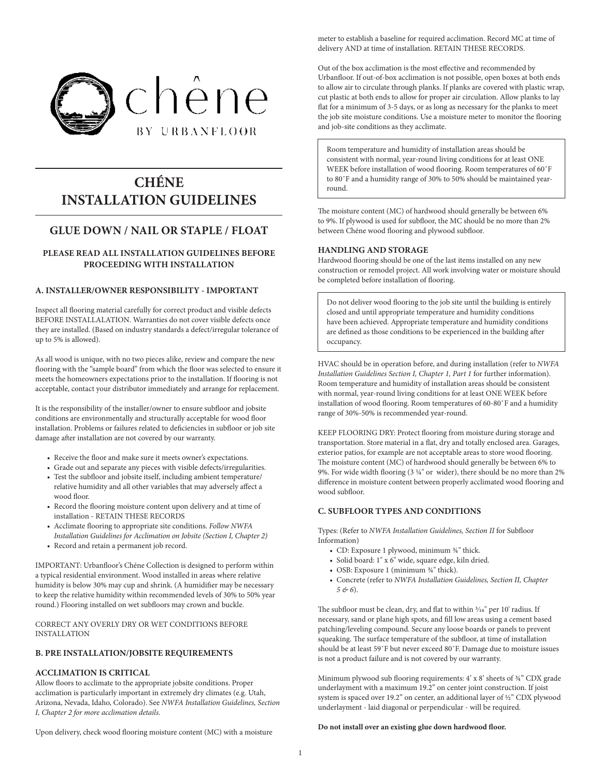

# **CHÉNE INSTALLATION GUIDELINES**

# **GLUE DOWN / NAIL OR STAPLE / FLOAT**

# **PLEASE READ ALL INSTALLATION GUIDELINES BEFORE PROCEEDING WITH INSTALLATION**

# **A. INSTALLER/OWNER RESPONSIBILITY - IMPORTANT**

Inspect all flooring material carefully for correct product and visible defects BEFORE INSTALLALATION. Warranties do not cover visible defects once they are installed. (Based on industry standards a defect/irregular tolerance of up to 5% is allowed).

As all wood is unique, with no two pieces alike, review and compare the new flooring with the "sample board" from which the floor was selected to ensure it meets the homeowners expectations prior to the installation. If flooring is not acceptable, contact your distributor immediately and arrange for replacement.

It is the responsibility of the installer/owner to ensure subfloor and jobsite conditions are environmentally and structurally acceptable for wood floor installation. Problems or failures related to deficiencies in subfloor or job site damage after installation are not covered by our warranty.

- Receive the floor and make sure it meets owner's expectations.
- Grade out and separate any pieces with visible defects/irregularities.
- Test the subfloor and jobsite itself, including ambient temperature/ relative humidity and all other variables that may adversely affect a wood floor.
- Record the flooring moisture content upon delivery and at time of installation - RETAIN THESE RECORDS
- Acclimate flooring to appropriate site conditions. *Follow NWFA Installation Guidelines for Acclimation on Jobsite (Section I, Chapter 2)*
- Record and retain a permanent job record.

IMPORTANT: Urbanfloor's Chéne Collection is designed to perform within a typical residential environment. Wood installed in areas where relative humidity is below 30% may cup and shrink. (A humidifier may be necessary to keep the relative humidity within recommended levels of 30% to 50% year round.) Flooring installed on wet subfloors may crown and buckle.

CORRECT ANY OVERLY DRY OR WET CONDITIONS BEFORE INSTALLATION

# **B. PRE INSTALLATION/JOBSITE REQUIREMENTS**

## **ACCLIMATION IS CRITICAL**

Allow floors to acclimate to the appropriate jobsite conditions. Proper acclimation is particularly important in extremely dry climates (e.g. Utah, Arizona, Nevada, Idaho, Colorado). See *NWFA Installation Guidelines, Section I, Chapter 2 for more acclimation details.*

meter to establish a baseline for required acclimation. Record MC at time of delivery AND at time of installation. RETAIN THESE RECORDS.

Out of the box acclimation is the most effective and recommended by Urbanfloor. If out-of-box acclimation is not possible, open boxes at both ends to allow air to circulate through planks. If planks are covered with plastic wrap, cut plastic at both ends to allow for proper air circulation. Allow planks to lay flat for a minimum of 3-5 days, or as long as necessary for the planks to meet the job site moisture conditions. Use a moisture meter to monitor the flooring and job-site conditions as they acclimate.

Room temperature and humidity of installation areas should be consistent with normal, year-round living conditions for at least ONE WEEK before installation of wood flooring. Room temperatures of 60˚F to 80˚F and a humidity range of 30% to 50% should be maintained yearround.

The moisture content (MC) of hardwood should generally be between 6% to 9%. If plywood is used for subfloor, the MC should be no more than 2% between Chéne wood flooring and plywood subfloor.

#### **HANDLING AND STORAGE**

Hardwood flooring should be one of the last items installed on any new construction or remodel project. All work involving water or moisture should be completed before installation of flooring.

Do not deliver wood flooring to the job site until the building is entirely closed and until appropriate temperature and humidity conditions have been achieved. Appropriate temperature and humidity conditions are defined as those conditions to be experienced in the building after occupancy.

HVAC should be in operation before, and during installation (refer to *NWFA Installation Guidelines Section I, Chapter 1, Part 1* for further information). Room temperature and humidity of installation areas should be consistent with normal, year-round living conditions for at least ONE WEEK before installation of wood flooring. Room temperatures of 60-80˚F and a humidity range of 30%-50% is recommended year-round.

KEEP FLOORING DRY: Protect flooring from moisture during storage and transportation. Store material in a flat, dry and totally enclosed area. Garages, exterior patios, for example are not acceptable areas to store wood flooring. The moisture content (MC) of hardwood should generally be between 6% to 9%. For wide width flooring (3 1/4" or wider), there should be no more than 2% difference in moisture content between properly acclimated wood flooring and wood subfloor.

## **C. SUBFLOOR TYPES AND CONDITIONS**

Types: (Refer to *NWFA Installation Guidelines, Section II* for Subfloor Information)

- CD: Exposure 1 plywood, minimum  $\frac{3}{4}$  thick.
- Solid board: 1" x 6" wide, square edge, kiln dried.
- OSB: Exposure 1 (minimum  $\frac{3}{4}$ " thick).
- Concrete (refer to *NWFA Installation Guidelines, Section II, Chapter 5 & 6*).

The subfloor must be clean, dry, and flat to within  $\frac{3}{16}$ " per 10' radius. If necessary, sand or plane high spots, and fill low areas using a cement based patching/leveling compound. Secure any loose boards or panels to prevent squeaking. The surface temperature of the subfloor, at time of installation should be at least 59˚F but never exceed 80˚F. Damage due to moisture issues is not a product failure and is not covered by our warranty.

Minimum plywood sub flooring requirements: 4' x 8' sheets of ¾" CDX grade underlayment with a maximum 19.2" on center joint construction. If joist system is spaced over 19.2" on center, an additional layer of ½" CDX plywood underlayment - laid diagonal or perpendicular - will be required.

**Do not install over an existing glue down hardwood floor.** 

Upon delivery, check wood flooring moisture content (MC) with a moisture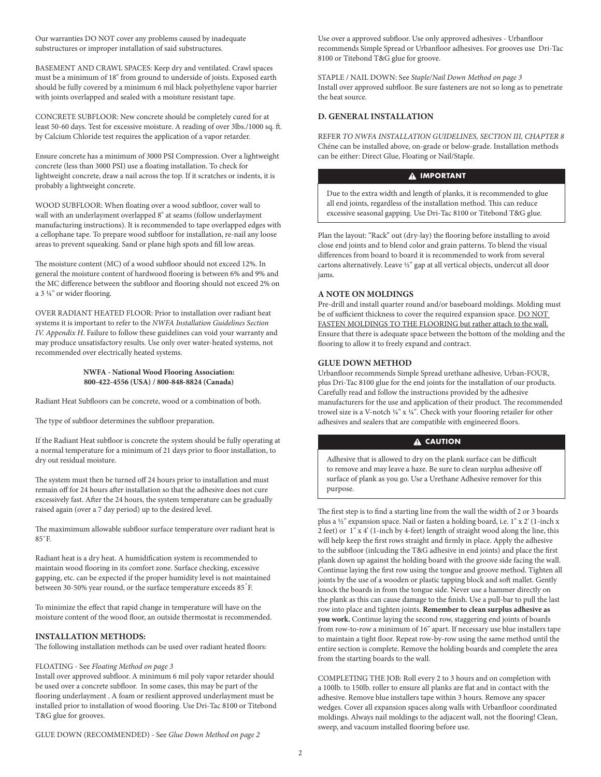Our warranties DO NOT cover any problems caused by inadequate substructures or improper installation of said substructures.

BASEMENT AND CRAWL SPACES: Keep dry and ventilated. Crawl spaces must be a minimum of 18" from ground to underside of joists. Exposed earth should be fully covered by a minimum 6 mil black polyethylene vapor barrier with joints overlapped and sealed with a moisture resistant tape.

CONCRETE SUBFLOOR: New concrete should be completely cured for at least 50-60 days. Test for excessive moisture. A reading of over 3lbs./1000 sq. ft. by Calcium Chloride test requires the application of a vapor retarder.

Ensure concrete has a minimum of 3000 PSI Compression. Over a lightweight concrete (less than 3000 PSI) use a floating installation. To check for lightweight concrete, draw a nail across the top. If it scratches or indents, it is probably a lightweight concrete.

WOOD SUBFLOOR: When floating over a wood subfloor, cover wall to wall with an underlayment overlapped 8" at seams (follow underlayment manufacturing instructions). It is recommended to tape overlapped edges with a cellophane tape. To prepare wood subfloor for installation, re-nail any loose areas to prevent squeaking. Sand or plane high spots and fill low areas.

The moisture content (MC) of a wood subfloor should not exceed 12%. In general the moisture content of hardwood flooring is between 6% and 9% and the MC difference between the subfloor and flooring should not exceed 2% on a 3 1/4" or wider flooring.

OVER RADIANT HEATED FLOOR: Prior to installation over radiant heat systems it is important to refer to the *NWFA Installation Guidelines Section IV. Appendix H*. Failure to follow these guidelines can void your warranty and may produce unsatisfactory results. Use only over water-heated systems, not recommended over electrically heated systems.

#### **NWFA - National Wood Flooring Association: 800-422-4556 (USA) / 800-848-8824 (Canada)**

Radiant Heat Subfloors can be concrete, wood or a combination of both.

The type of subfloor determines the subfloor preparation.

If the Radiant Heat subfloor is concrete the system should be fully operating at a normal temperature for a minimum of 21 days prior to floor installation, to dry out residual moisture.

The system must then be turned off 24 hours prior to installation and must remain off for 24 hours after installation so that the adhesive does not cure excessively fast. After the 24 hours, the system temperature can be gradually raised again (over a 7 day period) up to the desired level.

The maximimum allowable subfloor surface temperature over radiant heat is 85˚F.

Radiant heat is a dry heat. A humidification system is recommended to maintain wood flooring in its comfort zone. Surface checking, excessive gapping, etc. can be expected if the proper humidity level is not maintained between 30-50% year round, or the surface temperature exceeds 85°F.

To minimize the effect that rapid change in temperature will have on the moisture content of the wood floor, an outside thermostat is recommended.

#### **INSTALLATION METHODS:**

The following installation methods can be used over radiant heated floors:

#### FLOATING - See *Floating Method on page 3*

Install over approved subfloor. A minimum 6 mil poly vapor retarder should be used over a concrete subfloor. In some cases, this may be part of the flooring underlayment . A foam or resilient approved underlayment must be installed prior to installation of wood flooring. Use Dri-Tac 8100 or Titebond T&G glue for grooves.

Use over a approved subfloor. Use only approved adhesives - Urbanfloor recommends Simple Spread or Urbanfloor adhesives. For grooves use Dri-Tac 8100 or Titebond T&G glue for groove.

STAPLE / NAIL DOWN: See *Staple/Nail Down Method on page 3* Install over approved subfloor. Be sure fasteners are not so long as to penetrate the heat source.

#### **D. GENERAL INSTALLATION**

REFER *TO NWFA INSTALLATION GUIDELINES, SECTION III, CHAPTER 8* Chéne can be installed above, on-grade or below-grade. Installation methods can be either: Direct Glue, Floating or Nail/Staple.

# **A IMPORTANT**

Due to the extra width and length of planks, it is recommended to glue all end joints, regardless of the installation method. This can reduce excessive seasonal gapping. Use Dri-Tac 8100 or Titebond T&G glue.

Plan the layout: "Rack" out (dry-lay) the flooring before installing to avoid close end joints and to blend color and grain patterns. To blend the visual differences from board to board it is recommended to work from several cartons alternatively. Leave 1/2" gap at all vertical objects, undercut all door jams.

#### **A NOTE ON MOLDINGS**

Pre-drill and install quarter round and/or baseboard moldings. Molding must be of sufficient thickness to cover the required expansion space. DO NOT FASTEN MOLDINGS TO THE FLOORING but rather attach to the wall. Ensure that there is adequate space between the bottom of the molding and the flooring to allow it to freely expand and contract.

## **GLUE DOWN METHOD**

Urbanfloor recommends Simple Spread urethane adhesive, Urban-FOUR, plus Dri-Tac 8100 glue for the end joints for the installation of our products. Carefully read and follow the instructions provided by the adhesive manufacturers for the use and application of their product. The recommended trowel size is a V-notch 1/4" x 1/4". Check with your flooring retailer for other adhesives and sealers that are compatible with engineered floors.

# **A** CAUTION

Adhesive that is allowed to dry on the plank surface can be difficult to remove and may leave a haze. Be sure to clean surplus adhesive off surface of plank as you go. Use a Urethane Adhesive remover for this purpose.

The first step is to find a starting line from the wall the width of 2 or 3 boards plus a 1/2" expansion space. Nail or fasten a holding board, i.e. 1" x 2' (1-inch x 2 feet) or 1" x 4' (1-inch by 4-feet) length of straight wood along the line, this will help keep the first rows straight and firmly in place. Apply the adhesive to the subfloor (inlcuding the T&G adhesive in end joints) and place the first plank down up against the holding board with the groove side facing the wall. Continue laying the first row using the tongue and groove method. Tighten all joints by the use of a wooden or plastic tapping block and soft mallet. Gently knock the boards in from the tongue side. Never use a hammer directly on the plank as this can cause damage to the finish. Use a pull-bar to pull the last row into place and tighten joints. **Remember to clean surplus adhesive as you work.** Continue laying the second row, staggering end joints of boards from row-to-row a minimum of 16" apart. If necessary use blue installers tape to maintain a tight floor. Repeat row-by-row using the same method until the entire section is complete. Remove the holding boards and complete the area from the starting boards to the wall.

COMPLETING THE JOB: Roll every 2 to 3 hours and on completion with a 100lb. to 150lb. roller to ensure all planks are flat and in contact with the adhesive. Remove blue installers tape within 3 hours. Remove any spacer wedges. Cover all expansion spaces along walls with Urbanfloor coordinated moldings. Always nail moldings to the adjacent wall, not the flooring! Clean, sweep, and vacuum installed flooring before use.

GLUE DOWN (RECOMMENDED) - See *Glue Down Method on page 2*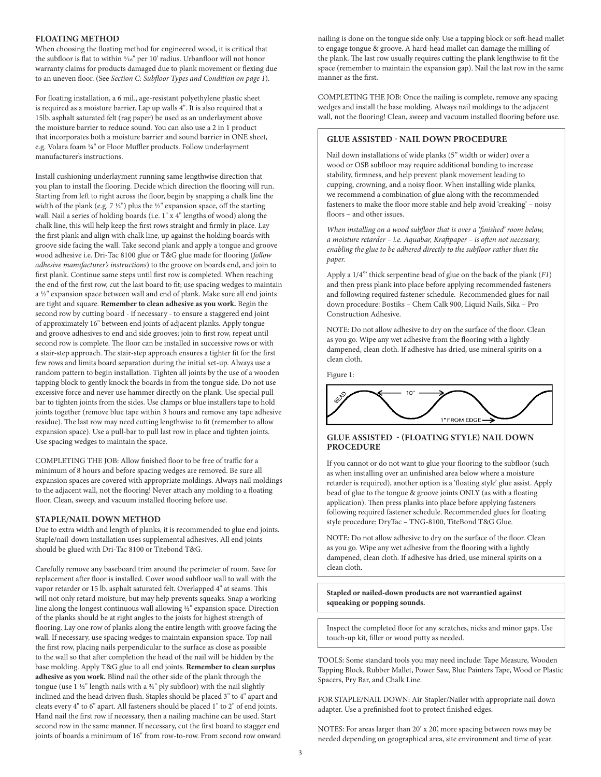## **FLOATING METHOD**

When choosing the floating method for engineered wood, it is critical that the subfloor is flat to within  $\frac{3}{16}$  per 10' radius. Urbanfloor will not honor warranty claims for products damaged due to plank movement or flexing due to an uneven floor. (See *Section C: Subfloor Types and Condition on page 1*).

For floating installation, a 6 mil., age-resistant polyethylene plastic sheet is required as a moisture barrier. Lap up walls 4". It is also required that a 15lb. asphalt saturated felt (rag paper) be used as an underlayment above the moisture barrier to reduce sound. You can also use a 2 in 1 product that incorporates both a moisture barrier and sound barrier in ONE sheet, e.g. Volara foam 1/4" or Floor Muffler products. Follow underlayment manufacturer's instructions.

Install cushioning underlayment running same lengthwise direction that you plan to install the flooring. Decide which direction the flooring will run. Starting from left to right across the floor, begin by snapping a chalk line the width of the plank (e.g. 7  $\frac{1}{2}$ ") plus the  $\frac{1}{2}$ " expansion space, off the starting wall. Nail a series of holding boards (i.e. 1" x 4" lengths of wood) along the chalk line, this will help keep the first rows straight and firmly in place. Lay the first plank and align with chalk line, up against the holding boards with groove side facing the wall. Take second plank and apply a tongue and groove wood adhesive i.e. Dri-Tac 8100 glue or T&G glue made for flooring (*follow adhesive manufacturer's instructions*) to the groove on boards end, and join to first plank. Continue same steps until first row is completed. When reaching the end of the first row, cut the last board to fit; use spacing wedges to maintain a 1/2" expansion space between wall and end of plank. Make sure all end joints are tight and square. **Remember to clean adhesive as you work.** Begin the second row by cutting board - if necessary - to ensure a staggered end joint of approximately 16" between end joints of adjacent planks. Apply tongue and groove adhesives to end and side grooves; join to first row, repeat until second row is complete. The floor can be installed in successive rows or with a stair-step approach. The stair-step approach ensures a tighter fit for the first few rows and limits board separation during the initial set-up. Always use a random pattern to begin installation. Tighten all joints by the use of a wooden tapping block to gently knock the boards in from the tongue side. Do not use excessive force and never use hammer directly on the plank. Use special pull bar to tighten joints from the sides. Use clamps or blue installers tape to hold joints together (remove blue tape within 3 hours and remove any tape adhesive residue). The last row may need cutting lengthwise to fit (remember to allow expansion space). Use a pull-bar to pull last row in place and tighten joints. Use spacing wedges to maintain the space.

COMPLETING THE JOB: Allow finished floor to be free of traffic for a minimum of 8 hours and before spacing wedges are removed. Be sure all expansion spaces are covered with appropriate moldings. Always nail moldings to the adjacent wall, not the flooring! Never attach any molding to a floating floor. Clean, sweep, and vacuum installed flooring before use.

#### **STAPLE/NAIL DOWN METHOD**

Due to extra width and length of planks, it is recommended to glue end joints. Staple/nail-down installation uses supplemental adhesives. All end joints should be glued with Dri-Tac 8100 or Titebond T&G.

Carefully remove any baseboard trim around the perimeter of room. Save for replacement after floor is installed. Cover wood subfloor wall to wall with the vapor retarder or 15 lb. asphalt saturated felt. Overlapped 4" at seams. This will not only retard moisture, but may help prevents squeaks. Snap a working line along the longest continuous wall allowing 1/2" expansion space. Direction of the planks should be at right angles to the joists for highest strength of flooring. Lay one row of planks along the entire length with groove facing the wall. If necessary, use spacing wedges to maintain expansion space. Top nail the first row, placing nails perpendicular to the surface as close as possible to the wall so that after completion the head of the nail will be hidden by the base molding. Apply T&G glue to all end joints. **Remember to clean surplus adhesive as you work.** Blind nail the other side of the plank through the tongue (use  $1 \frac{1}{2}$ " length nails with a  $\frac{3}{4}$ " ply subfloor) with the nail slightly inclined and the head driven flush. Staples should be placed 3" to 4" apart and cleats every 4" to 6" apart. All fasteners should be placed 1" to 2" of end joints. Hand nail the first row if necessary, then a nailing machine can be used. Start second row in the same manner. If necessary, cut the first board to stagger end joints of boards a minimum of 16" from row-to-row. From second row onward nailing is done on the tongue side only. Use a tapping block or soft-head mallet to engage tongue & groove. A hard-head mallet can damage the milling of the plank. The last row usually requires cutting the plank lengthwise to fit the space (remember to maintain the expansion gap). Nail the last row in the same manner as the first.

COMPLETING THE JOB: Once the nailing is complete, remove any spacing wedges and install the base molding. Always nail moldings to the adjacent wall, not the flooring! Clean, sweep and vacuum installed flooring before use.

# **GLUE ASSISTED - NAIL DOWN PROCEDURE**

Nail down installations of wide planks (5" width or wider) over a wood or OSB subfloor may require additional bonding to increase stability, firmness, and help prevent plank movement leading to cupping, crowning, and a noisy floor. When installing wide planks, we recommend a combination of glue along with the recommended fasteners to make the floor more stable and help avoid 'creaking' – noisy floors – and other issues.

*When installing on a wood subfloor that is over a 'finished' room below, a moisture retarder – i.e. Aquabar, Kraftpaper – is often not necessary, enabling the glue to be adhered directly to the subfloor rather than the paper.* 

Apply a 1/4'" thick serpentine bead of glue on the back of the plank (*F1*) and then press plank into place before applying recommended fasteners and following required fastener schedule. Recommended glues for nail down procedure: Bostiks – Chem Calk 900, Liquid Nails, Sika – Pro Construction Adhesive.

NOTE: Do not allow adhesive to dry on the surface of the floor. Clean as you go. Wipe any wet adhesive from the flooring with a lightly dampened, clean cloth. If adhesive has dried, use mineral spirits on a clean cloth.

Figure 1:



# **GLUE ASSISTED - (FLOATING STYLE) NAIL DOWN PROCEDURE**

If you cannot or do not want to glue your flooring to the subfloor (such as when installing over an unfinished area below where a moisture retarder is required), another option is a 'floating style' glue assist. Apply bead of glue to the tongue & groove joints ONLY (as with a floating application). Then press planks into place before applying fasteners following required fastener schedule. Recommended glues for floating style procedure: DryTac – TNG-8100, TiteBond T&G Glue.

NOTE: Do not allow adhesive to dry on the surface of the floor. Clean as you go. Wipe any wet adhesive from the flooring with a lightly dampened, clean cloth. If adhesive has dried, use mineral spirits on a clean cloth.

**Stapled or nailed-down products are not warrantied against squeaking or popping sounds.**

Inspect the completed floor for any scratches, nicks and minor gaps. Use touch-up kit, filler or wood putty as needed.

TOOLS: Some standard tools you may need include: Tape Measure, Wooden Tapping Block, Rubber Mallet, Power Saw, Blue Painters Tape, Wood or Plastic Spacers, Pry Bar, and Chalk Line.

FOR STAPLE/NAIL DOWN: Air-Stapler/Nailer with appropriate nail down adapter. Use a prefinished foot to protect finished edges.

NOTES: For areas larger than 20' x 20', more spacing between rows may be needed depending on geographical area, site environment and time of year.